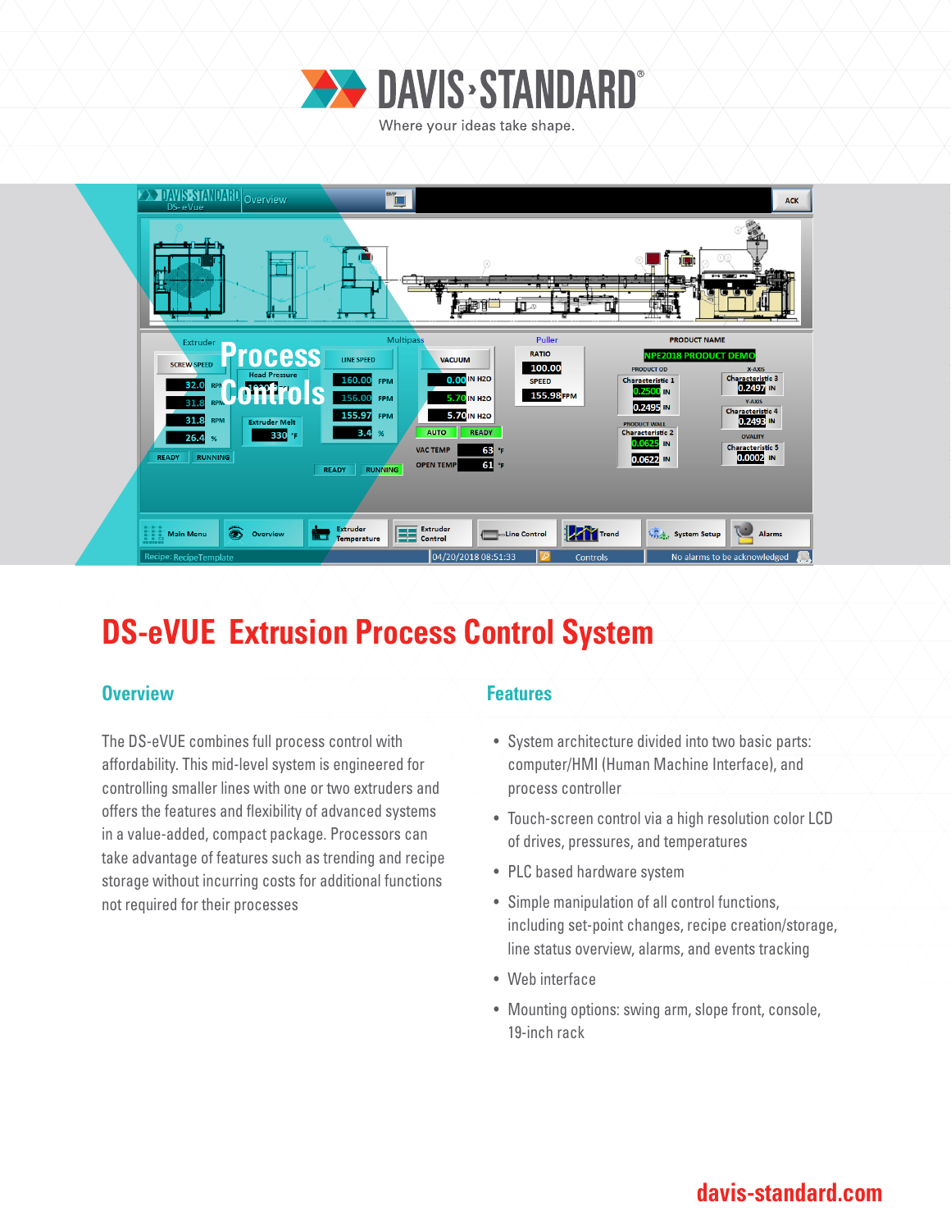



## **DS-eVUE Extrusion Process Control System**

### **Overview Allen Accept Accept Accept Accept Features**

The DS-eVUE combines full process control with affordability. This mid-level system is engineered for controlling smaller lines with one or two extruders and offers the features and flexibility of advanced systems in a value-added, compact package. Processors can take advantage of features such as trending and recipe storage without incurring costs for additional functions not required for their processes

- System architecture divided into two basic parts: computer/HMI (Human Machine Interface), and process controller
- Touch-screen control via a high resolution color LCD of drives, pressures, and temperatures
- PLC based hardware system
- Simple manipulation of all control functions, including set-point changes, recipe creation/storage, line status overview, alarms, and events tracking
- Web interface
- Mounting options: swing arm, slope front, console, 19-inch rack

### **davis-standard.com**